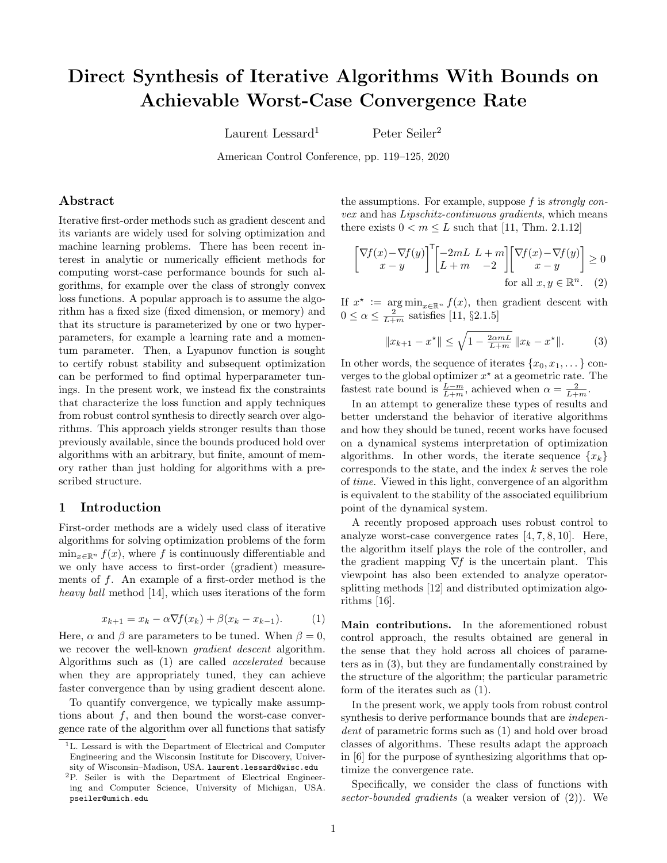# Direct Synthesis of Iterative Algorithms With Bounds on Achievable Worst-Case Convergence Rate

Laurent Lessard<sup>1</sup> Peter Seiler<sup>2</sup>

American Control Conference, pp. 119–125, 2020

# Abstract

Iterative first-order methods such as gradient descent and its variants are widely used for solving optimization and machine learning problems. There has been recent interest in analytic or numerically efficient methods for computing worst-case performance bounds for such algorithms, for example over the class of strongly convex loss functions. A popular approach is to assume the algorithm has a fixed size (fixed dimension, or memory) and that its structure is parameterized by one or two hyperparameters, for example a learning rate and a momentum parameter. Then, a Lyapunov function is sought to certify robust stability and subsequent optimization can be performed to find optimal hyperparameter tunings. In the present work, we instead fix the constraints that characterize the loss function and apply techniques from robust control synthesis to directly search over algorithms. This approach yields stronger results than those previously available, since the bounds produced hold over algorithms with an arbitrary, but finite, amount of memory rather than just holding for algorithms with a prescribed structure.

### <span id="page-0-3"></span>1 Introduction

First-order methods are a widely used class of iterative algorithms for solving optimization problems of the form  $\min_{x \in \mathbb{R}^n} f(x)$ , where f is continuously differentiable and we only have access to first-order (gradient) measurements of  $f$ . An example of a first-order method is the heavy ball method [\[14\]](#page-6-0), which uses iterations of the form

$$
x_{k+1} = x_k - \alpha \nabla f(x_k) + \beta (x_k - x_{k-1}).
$$
 (1)

<span id="page-0-0"></span>Here,  $\alpha$  and  $\beta$  are parameters to be tuned. When  $\beta = 0$ , we recover the well-known *gradient descent* algorithm. Algorithms such as [\(1\)](#page-0-0) are called accelerated because when they are appropriately tuned, they can achieve faster convergence than by using gradient descent alone.

To quantify convergence, we typically make assumptions about  $f$ , and then bound the worst-case convergence rate of the algorithm over all functions that satisfy the assumptions. For example, suppose  $f$  is *strongly con*vex and has Lipschitz-continuous gradients, which means there exists  $0 < m \leq L$  such that [\[11,](#page-6-1) Thm. 2.1.12]

$$
\begin{bmatrix} \nabla f(x) - \nabla f(y) \\ x - y \end{bmatrix}^{\mathsf{T}} \begin{bmatrix} -2mL & L + m \\ L + m & -2 \end{bmatrix} \begin{bmatrix} \nabla f(x) - \nabla f(y) \\ x - y \end{bmatrix} \ge 0
$$
\nfor all  $x, y \in \mathbb{R}^n$ .

\n(2)

If  $x^* := \arg \min_{x \in \mathbb{R}^n} f(x)$ , then gradient descent with  $0 \le \alpha \le \frac{2}{L+m}$  satisfies [\[11,](#page-6-1) §2.1.5]

<span id="page-0-2"></span><span id="page-0-1"></span>
$$
||x_{k+1} - x^*|| \le \sqrt{1 - \frac{2\alpha mL}{L+m}} ||x_k - x^*||. \tag{3}
$$

In other words, the sequence of iterates  $\{x_0, x_1, \ldots\}$  converges to the global optimizer  $x^*$  at a geometric rate. The fastest rate bound is  $\frac{L-m}{L+m}$ , achieved when  $\alpha = \frac{2}{L+m}$ .

In an attempt to generalize these types of results and better understand the behavior of iterative algorithms and how they should be tuned, recent works have focused on a dynamical systems interpretation of optimization algorithms. In other words, the iterate sequence  $\{x_k\}$ corresponds to the state, and the index  $k$  serves the role of time. Viewed in this light, convergence of an algorithm is equivalent to the stability of the associated equilibrium point of the dynamical system.

A recently proposed approach uses robust control to analyze worst-case convergence rates [\[4,](#page-6-2) [7,](#page-6-3) [8,](#page-6-4) [10\]](#page-6-5). Here, the algorithm itself plays the role of the controller, and the gradient mapping  $\nabla f$  is the uncertain plant. This viewpoint has also been extended to analyze operatorsplitting methods [\[12\]](#page-6-6) and distributed optimization algorithms [\[16\]](#page-6-7).

Main contributions. In the aforementioned robust control approach, the results obtained are general in the sense that they hold across all choices of parameters as in [\(3\)](#page-0-1), but they are fundamentally constrained by the structure of the algorithm; the particular parametric form of the iterates such as [\(1\)](#page-0-0).

In the present work, we apply tools from robust control synthesis to derive performance bounds that are independent of parametric forms such as  $(1)$  and hold over broad classes of algorithms. These results adapt the approach in [\[6\]](#page-6-8) for the purpose of synthesizing algorithms that optimize the convergence rate.

Specifically, we consider the class of functions with sector-bounded gradients (a weaker version of [\(2\)](#page-0-2)). We

<sup>&</sup>lt;sup>1</sup>L. Lessard is with the Department of Electrical and Computer Engineering and the Wisconsin Institute for Discovery, University of Wisconsin–Madison, USA. laurent.lessard@wisc.edu

<sup>2</sup>P. Seiler is with the Department of Electrical Engineering and Computer Science, University of Michigan, USA. pseiler@umich.edu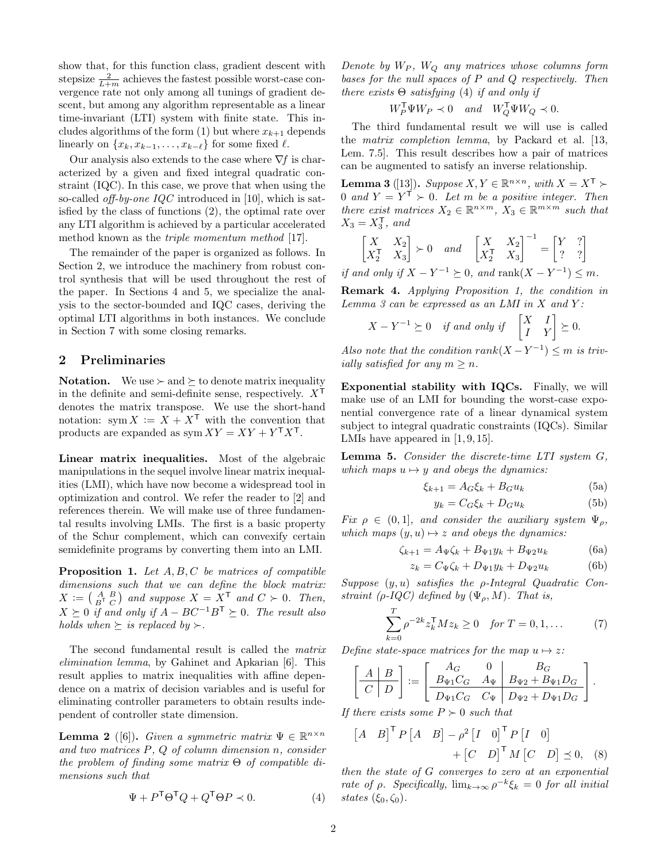show that, for this function class, gradient descent with stepsize  $\frac{2}{L+m}$  achieves the fastest possible worst-case convergence rate not only among all tunings of gradient descent, but among any algorithm representable as a linear time-invariant (LTI) system with finite state. This in-cludes algorithms of the form [\(1\)](#page-0-0) but where  $x_{k+1}$  depends linearly on  $\{x_k, x_{k-1}, \ldots, x_{k-\ell}\}$  for some fixed  $\ell$ .

Our analysis also extends to the case where  $\nabla f$  is characterized by a given and fixed integral quadratic constraint (IQC). In this case, we prove that when using the so-called *off-by-one IQC* introduced in [\[10\]](#page-6-5), which is satisfied by the class of functions [\(2\)](#page-0-2), the optimal rate over any LTI algorithm is achieved by a particular accelerated method known as the triple momentum method [\[17\]](#page-6-9).

The remainder of the paper is organized as follows. In Section [2,](#page-1-0) we introduce the machinery from robust control synthesis that will be used throughout the rest of the paper. In Sections [4](#page-2-0) and [5,](#page-3-0) we specialize the analysis to the sector-bounded and IQC cases, deriving the optimal LTI algorithms in both instances. We conclude in Section [7](#page-6-10) with some closing remarks.

# <span id="page-1-0"></span>2 Preliminaries

**Notation.** We use  $\succ$  and  $\succeq$  to denote matrix inequality in the definite and semi-definite sense, respectively.  $X^{\mathsf{T}}$ denotes the matrix transpose. We use the short-hand notation: sym  $X := X + X^{\mathsf{T}}$  with the convention that products are expanded as  $sym XY = XY + Y^{\mathsf{T}}X^{\mathsf{T}}$ .

Linear matrix inequalities. Most of the algebraic manipulations in the sequel involve linear matrix inequalities (LMI), which have now become a widespread tool in optimization and control. We refer the reader to [\[2\]](#page-6-11) and references therein. We will make use of three fundamental results involving LMIs. The first is a basic property of the Schur complement, which can convexify certain semidefinite programs by converting them into an LMI.

<span id="page-1-2"></span>**Proposition 1.** Let  $A, B, C$  be matrices of compatible dimensions such that we can define the block matrix:  $X := \begin{pmatrix} A & B \\ B^T & C \end{pmatrix}$  and suppose  $X = \overset{X}{X}^T$  and  $C \succ 0$ . Then,  $X \succeq 0$  if and only if  $A - BC^{-1}B^{\mathsf{T}} \succeq 0$ . The result also holds when  $\succeq$  is replaced by  $\succ$ .

The second fundamental result is called the matrix elimination lemma, by Gahinet and Apkarian [\[6\]](#page-6-8). This result applies to matrix inequalities with affine dependence on a matrix of decision variables and is useful for eliminating controller parameters to obtain results independent of controller state dimension.

<span id="page-1-6"></span>**Lemma 2** ([\[6\]](#page-6-8)). Given a symmetric matrix  $\Psi \in \mathbb{R}^{n \times n}$ and two matrices P, Q of column dimension n, consider the problem of finding some matrix  $\Theta$  of compatible dimensions such that

<span id="page-1-1"></span>
$$
\Psi + P^{\mathsf{T}} \Theta^{\mathsf{T}} Q + Q^{\mathsf{T}} \Theta P \prec 0. \tag{4}
$$

Denote by  $W_P$ ,  $W_Q$  any matrices whose columns form bases for the null spaces of  $P$  and  $Q$  respectively. Then there exists  $\Theta$  satisfying [\(4\)](#page-1-1) if and only if

$$
W_P^{\mathsf{T}} \Psi W_P \prec 0
$$
 and  $W_Q^{\mathsf{T}} \Psi W_Q \prec 0$ .

The third fundamental result we will use is called the matrix completion lemma, by Packard et al. [\[13,](#page-6-12) Lem. 7.5]. This result describes how a pair of matrices can be augmented to satisfy an inverse relationship.

<span id="page-1-3"></span>**Lemma 3** ([\[13\]](#page-6-12)). Suppose  $X, Y \in \mathbb{R}^{n \times n}$ , with  $X = X^{\mathsf{T}}$ 0 and  $Y = Y^{\mathsf{T}} \succ 0$ . Let m be a positive integer. Then there exist matrices  $X_2 \in \mathbb{R}^{n \times m}$ ,  $X_3 \in \mathbb{R}^{m \times m}$  such that  $X_3 = X_3^{\mathsf{T}}, \text{ and}$ 

$$
\begin{bmatrix} X & X_2 \\ X_2^{\mathsf{T}} & X_3 \end{bmatrix} \succ 0 \quad and \quad \begin{bmatrix} X & X_2 \\ X_2^{\mathsf{T}} & X_3 \end{bmatrix}^{-1} = \begin{bmatrix} Y & ? \\ ? & ? \end{bmatrix}
$$

if and only if  $X - Y^{-1} \succeq 0$ , and rank $(X - Y^{-1}) \leq m$ .

Remark 4. Applying Proposition [1,](#page-1-2) the condition in Lemma  $3$  can be expressed as an LMI in  $X$  and  $Y$ :

$$
X - Y^{-1} \succeq 0 \quad \text{if and only if} \quad \begin{bmatrix} X & I \\ I & Y \end{bmatrix} \succeq 0.
$$

Also note that the condition  $rank(X - Y^{-1}) \leq m$  is trivially satisfied for any  $m \geq n$ .

Exponential stability with IQCs. Finally, we will make use of an LMI for bounding the worst-case exponential convergence rate of a linear dynamical system subject to integral quadratic constraints (IQCs). Similar LMIs have appeared in [\[1,](#page-6-13) [9,](#page-6-14) [15\]](#page-6-15).

<span id="page-1-5"></span>Lemma 5. Consider the discrete-time LTI system G, which maps  $u \mapsto y$  and obeys the dynamics:

$$
\xi_{k+1} = A_G \xi_k + B_G u_k \tag{5a}
$$

<span id="page-1-7"></span>
$$
y_k = C_G \xi_k + D_G u_k \tag{5b}
$$

Fix  $\rho \in (0,1]$ , and consider the auxiliary system  $\Psi_o$ , which maps  $(y, u) \mapsto z$  and obeys the dynamics:

$$
\zeta_{k+1} = A_{\Psi}\zeta_k + B_{\Psi 1}y_k + B_{\Psi 2}u_k \tag{6a}
$$

$$
z_k = C_{\Psi} \zeta_k + D_{\Psi 1} y_k + D_{\Psi 2} u_k \tag{6b}
$$

Suppose  $(y, u)$  satisfies the *ρ*-Integral Quadratic Constraint (ρ-IQC) defined by  $(\Psi_{\rho}, M)$ . That is,

$$
\sum_{k=0}^{T} \rho^{-2k} z_k^{\mathsf{T}} M z_k \ge 0 \quad \text{for } T = 0, 1, ... \tag{7}
$$

Define state-space matrices for the map  $u \mapsto z$ :

$$
\left[\begin{array}{c|c} A & B \\ \hline C & D \end{array}\right] := \left[\begin{array}{cc|c} A_G & 0 & B_G \\ \hline B_{\Psi 1} C_G & A_{\Psi} & B_{\Psi 2} + B_{\Psi 1} D_G \\ \hline D_{\Psi 1} C_G & C_{\Psi} & D_{\Psi 2} + D_{\Psi 1} D_G \end{array}\right].
$$

If there exists some  $P \succ 0$  such that

<span id="page-1-4"></span>
$$
\begin{bmatrix} A & B \end{bmatrix}^{\mathsf{T}} P \begin{bmatrix} A & B \end{bmatrix} - \rho^2 \begin{bmatrix} I & 0 \end{bmatrix}^{\mathsf{T}} P \begin{bmatrix} I & 0 \end{bmatrix} + \begin{bmatrix} C & D \end{bmatrix}^{\mathsf{T}} M \begin{bmatrix} C & D \end{bmatrix} \preceq 0, \quad (8)
$$

then the state of G converges to zero at an exponential rate of  $\rho$ . Specifically,  $\lim_{k\to\infty} \rho^{-k} \xi_k = 0$  for all initial states  $(\xi_0, \zeta_0)$ .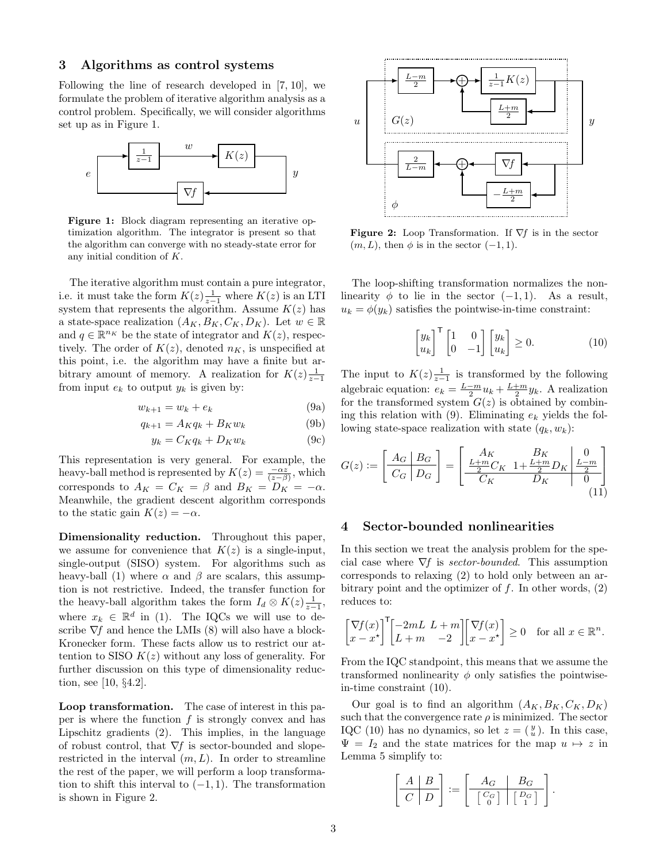## 3 Algorithms as control systems

Following the line of research developed in [\[7,](#page-6-3) [10\]](#page-6-5), we formulate the problem of iterative algorithm analysis as a control problem. Specifically, we will consider algorithms set up as in Figure [1.](#page-2-1)

<span id="page-2-1"></span>

Figure 1: Block diagram representing an iterative optimization algorithm. The integrator is present so that the algorithm can converge with no steady-state error for any initial condition of K.

The iterative algorithm must contain a pure integrator, i.e. it must take the form  $K(z) \frac{1}{z-1}$  where  $K(z)$  is an LTI system that represents the algorithm. Assume  $K(z)$  has a state-space realization  $(A_K, B_K, C_K, D_K)$ . Let  $w \in \mathbb{R}$ and  $q \in \mathbb{R}^{n_K}$  be the state of integrator and  $K(z)$ , respectively. The order of  $K(z)$ , denoted  $n<sub>K</sub>$ , is unspecified at this point, i.e. the algorithm may have a finite but arbitrary amount of memory. A realization for  $K(z)$ <sub>z-1</sub> from input  $e_k$  to output  $y_k$  is given by:

$$
w_{k+1} = w_k + e_k \tag{9a}
$$

$$
q_{k+1} = A_K q_k + B_K w_k \tag{9b}
$$

$$
y_k = C_K q_k + D_K w_k \tag{9c}
$$

This representation is very general. For example, the heavy-ball method is represented by  $K(z) = \frac{-\alpha z}{(z-\beta)}$ , which corresponds to  $A_K = C_K = \beta$  and  $B_K = D_K = -\alpha$ . Meanwhile, the gradient descent algorithm corresponds to the static gain  $K(z) = -\alpha$ .

Dimensionality reduction. Throughout this paper, we assume for convenience that  $K(z)$  is a single-input, single-output (SISO) system. For algorithms such as heavy-ball [\(1\)](#page-0-0) where  $\alpha$  and  $\beta$  are scalars, this assumption is not restrictive. Indeed, the transfer function for the heavy-ball algorithm takes the form  $I_d \otimes K(z) \frac{1}{z-1}$ , where  $x_k \in \mathbb{R}^d$  in [\(1\)](#page-0-0). The IQCs we will use to describe  $\nabla f$  and hence the LMIs [\(8\)](#page-1-4) will also have a block-Kronecker form. These facts allow us to restrict our attention to SISO  $K(z)$  without any loss of generality. For further discussion on this type of dimensionality reduction, see [\[10,](#page-6-5) §4.2].

Loop transformation. The case of interest in this paper is where the function  $f$  is strongly convex and has Lipschitz gradients [\(2\)](#page-0-2). This implies, in the language of robust control, that  $\nabla f$  is sector-bounded and sloperestricted in the interval  $(m, L)$ . In order to streamline the rest of the paper, we will perform a loop transformation to shift this interval to  $(-1, 1)$ . The transformation is shown in Figure [2.](#page-2-2)

<span id="page-2-2"></span>

**Figure 2:** Loop Transformation. If  $\nabla f$  is in the sector  $(m, L)$ , then  $\phi$  is in the sector  $(-1, 1)$ .

The loop-shifting transformation normalizes the nonlinearity  $\phi$  to lie in the sector  $(-1, 1)$ . As a result,  $u_k = \phi(y_k)$  satisfies the pointwise-in-time constraint:

<span id="page-2-5"></span><span id="page-2-4"></span>
$$
\begin{bmatrix} y_k \\ u_k \end{bmatrix}^\mathsf{T} \begin{bmatrix} 1 & 0 \\ 0 & -1 \end{bmatrix} \begin{bmatrix} y_k \\ u_k \end{bmatrix} \ge 0.
$$
 (10)

<span id="page-2-3"></span>The input to  $K(z)$  $\frac{1}{z-1}$  is transformed by the following algebraic equation:  $e_k = \frac{L-m}{2} u_k + \frac{L+m}{2} y_k$ . A realization for the transformed system  $G(z)$  is obtained by combin-ing this relation with [\(9\)](#page-2-3). Eliminating  $e_k$  yields the following state-space realization with state  $(q_k, w_k)$ :

$$
G(z) := \left[ \frac{A_G \mid B_G}{C_G \mid D_G} \right] = \left[ \frac{A_K}{\frac{L+m}{2}C_K} \frac{B_K}{1 + \frac{L+m}{2}D_K} \middle| \frac{L-m}{2} \right] \tag{11}
$$

# <span id="page-2-0"></span>4 Sector-bounded nonlinearities

In this section we treat the analysis problem for the special case where  $\nabla f$  is *sector-bounded*. This assumption corresponds to relaxing [\(2\)](#page-0-2) to hold only between an arbitrary point and the optimizer of  $f$ . In other words,  $(2)$ reduces to:

$$
\begin{bmatrix} \nabla f(x) \\ x - x^* \end{bmatrix}^{\mathsf{T}} \begin{bmatrix} -2mL & L + m \\ L + m & -2 \end{bmatrix} \begin{bmatrix} \nabla f(x) \\ x - x^* \end{bmatrix} \ge 0 \quad \text{for all } x \in \mathbb{R}^n.
$$

From the IQC standpoint, this means that we assume the transformed nonlinearity  $\phi$  only satisfies the pointwisein-time constraint [\(10\)](#page-2-4).

Our goal is to find an algorithm  $(A_K, B_K, C_K, D_K)$ such that the convergence rate  $\rho$  is minimized. The sector IQC [\(10\)](#page-2-4) has no dynamics, so let  $z = \begin{pmatrix} y \\ u \end{pmatrix}$ . In this case,  $\Psi = I_2$  and the state matrices for the map  $u \mapsto z$  in Lemma [5](#page-1-5) simplify to:

$$
\left[\begin{array}{c|c} A & B \\ \hline C & D \end{array}\right] := \left[\begin{array}{c|c} A_G & B_G \\ \hline \left[\begin{array}{c|c} C_G \\ 0 \end{array}\right] & \left[\begin{array}{c} D_G \\ 1 \end{array}\right] \end{array}\right].
$$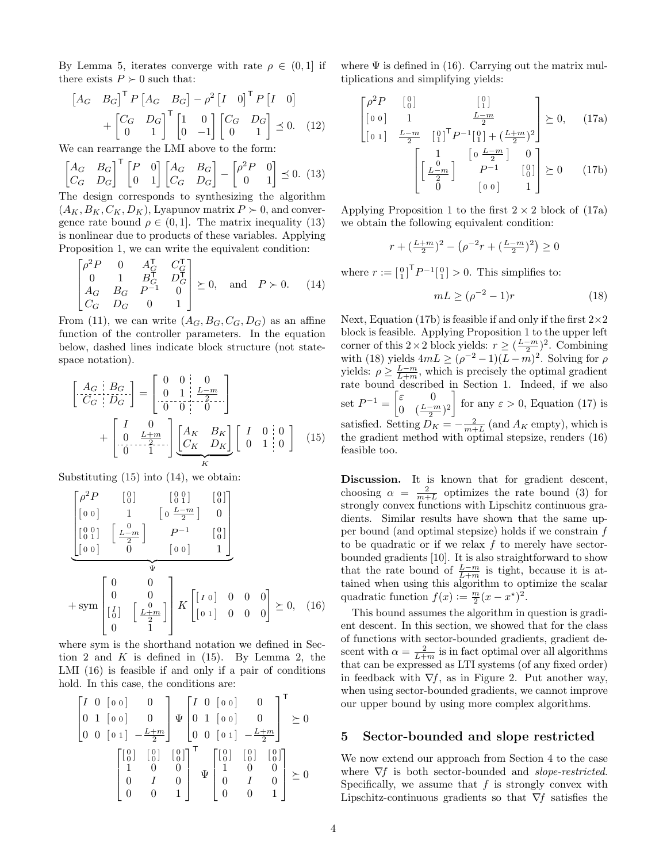By Lemma [5,](#page-1-5) iterates converge with rate  $\rho \in (0,1]$  if there exists  $P \succ 0$  such that:

$$
\begin{bmatrix} A_G & B_G \end{bmatrix}^\mathsf{T} P \begin{bmatrix} A_G & B_G \end{bmatrix} - \rho^2 \begin{bmatrix} I & 0 \end{bmatrix}^\mathsf{T} P \begin{bmatrix} I & 0 \end{bmatrix} + \begin{bmatrix} C_G & D_G \\ 0 & 1 \end{bmatrix}^\mathsf{T} \begin{bmatrix} 1 & 0 \\ 0 & -1 \end{bmatrix} \begin{bmatrix} C_G & D_G \\ 0 & 1 \end{bmatrix} \preceq 0. \tag{12}
$$

We can rearrange the LMI above to the form:

$$
\begin{bmatrix} A_G & B_G \\ C_G & D_G \end{bmatrix}^\mathsf{T} \begin{bmatrix} P & 0 \\ 0 & 1 \end{bmatrix} \begin{bmatrix} A_G & B_G \\ C_G & D_G \end{bmatrix} - \begin{bmatrix} \rho^2 P & 0 \\ 0 & 1 \end{bmatrix} \preceq 0. \tag{13}
$$

The design corresponds to synthesizing the algorithm  $(A_K, B_K, C_K, D_K)$ , Lyapunov matrix  $P \succ 0$ , and convergence rate bound  $\rho \in (0, 1]$ . The matrix inequality [\(13\)](#page-3-1) is nonlinear due to products of these variables. Applying Proposition [1,](#page-1-2) we can write the equivalent condition:

$$
\begin{bmatrix} \rho^2 P & 0 & A_G^{\mathsf{T}} & C_G^{\mathsf{T}} \\ 0 & 1 & B_G^{\mathsf{T}} & D_G^{\mathsf{T}} \\ A_G & B_G & P^{-1} & 0 \\ C_G & D_G & 0 & 1 \end{bmatrix} \succeq 0, \text{ and } P \succ 0.
$$
 (14)

From [\(11\)](#page-2-5), we can write  $(A_G, B_G, C_G, D_G)$  as an affine function of the controller parameters. In the equation below, dashed lines indicate block structure (not statespace notation).

$$
\begin{bmatrix} A_G & B_G \\ \overline{C}_G & D_G \end{bmatrix} = \begin{bmatrix} 0 & 0 & 0 \\ 0 & 1 & \frac{L-m}{2} \\ 0 & 0 & 0 \end{bmatrix} + \begin{bmatrix} I & 0 \\ 0 & \frac{L+m}{2} \\ 0 & 1 \end{bmatrix} \underbrace{\begin{bmatrix} A_K & B_K \\ C_K & D_K \end{bmatrix}}_{K} \begin{bmatrix} I & 0 & 0 \\ 0 & 1 & 0 \end{bmatrix} \tag{15}
$$

Substituting  $(15)$  into  $(14)$ , we obtain:

$$
\begin{bmatrix}\n\rho^2 P & \begin{bmatrix} 0 \\ 0 \end{bmatrix} & \begin{bmatrix} 0 \\ 0 \\ 1 \end{bmatrix} & \begin{bmatrix} 0 \\ 0 \\ \frac{L-m}{2} \end{bmatrix} & \begin{bmatrix} 0 \\ 0 \\ 0 \end{bmatrix} \\
\begin{bmatrix} 0 & 0 \\ 0 & 0 \end{bmatrix} & \begin{bmatrix} 0 & 0 \\ 0 & 0 \end{bmatrix} & \begin{bmatrix} 0 \\ 0 \\ 0 \end{bmatrix} \\
\hline\n\end{bmatrix}
$$
\n
$$
+ \text{sym} \begin{bmatrix}\n0 & 0 & 0 \\
0 & 0 & 0 \\
\begin{bmatrix} I \\ 0 \end{bmatrix} & \begin{bmatrix} 0 & 0 & 0 \\
 \frac{L+m}{2} \end{bmatrix} & K \begin{bmatrix} I & 0 & 0 & 0 & 0 \\ 0 & 1 & 0 & 0 & 0 \end{bmatrix} \succeq 0, \quad (16)
$$

where sym is the shorthand notation we defined in Sec-tion [2](#page-1-0) and  $K$  is defined in  $(15)$ . By Lemma [2,](#page-1-6) the LMI [\(16\)](#page-3-4) is feasible if and only if a pair of conditions hold. In this case, the conditions are:

$$
\begin{bmatrix} I & 0 & 0 & 0 & 0 \ 0 & 1 & 0 & 0 & 0 \ 0 & 0 & 0 & 1 & -\frac{L+m}{2} \end{bmatrix} \Psi \begin{bmatrix} I & 0 & 0 & 0 & 0 \ 0 & 1 & 0 & 0 & 0 \ 0 & 0 & 0 & 1 & -\frac{L+m}{2} \end{bmatrix}^{\mathsf{T}} \succeq 0
$$
\n
$$
\begin{bmatrix} \begin{bmatrix} 0 \\ 0 \end{bmatrix} & \begin{bmatrix} 0 \\ 0 \end{bmatrix} & \begin{bmatrix} 0 \\ 0 \end{bmatrix} & \begin{bmatrix} 0 \\ 0 \end{bmatrix} \end{bmatrix}^{\mathsf{T}}_{\Psi} \Psi \begin{bmatrix} \begin{bmatrix} 0 \\ 0 \\ 1 \end{bmatrix} & \begin{bmatrix} 0 \\ 0 \\ 0 \end{bmatrix} & \begin{bmatrix} 0 \\ 0 \\ 0 \end{bmatrix} \end{bmatrix} \succeq 0
$$

where  $\Psi$  is defined in [\(16\)](#page-3-4). Carrying out the matrix multiplications and simplifying yields:

<span id="page-3-8"></span><span id="page-3-5"></span><span id="page-3-1"></span>
$$
\begin{bmatrix}\n\rho^2 P & \begin{bmatrix} 0 \\ 0 \end{bmatrix} & \begin{bmatrix} 0 \\ 1 \end{bmatrix} \\
\begin{bmatrix} 0 & 1 \end{bmatrix} & \frac{L-m}{2} \\
\begin{bmatrix} 0 & 1 \end{bmatrix}^T P^{-1} \begin{bmatrix} 0 \\ 1 \end{bmatrix} + \left(\frac{L+m}{2}\right)^2\n\end{bmatrix} \succeq 0, \quad (17a)
$$
\n
$$
\begin{bmatrix}\n1 & \begin{bmatrix} 0 & \frac{L-m}{2} \end{bmatrix} & 0 \\
\begin{bmatrix} \frac{L-m}{2} & P^{-1} & \begin{bmatrix} 0 \\ 0 \end{bmatrix} \end{bmatrix} \succeq 0 \quad (17b)
$$

Applying Proposition [1](#page-1-2) to the first  $2 \times 2$  block of [\(17a\)](#page-3-5) we obtain the following equivalent condition:

$$
r+(\tfrac{L+m}{2})^2-\left(\rho^{-2}r+(\tfrac{L-m}{2})^2\right)\geq 0
$$

<span id="page-3-3"></span>where  $r := \begin{bmatrix} 0 \\ 1 \end{bmatrix}^T P^{-1} \begin{bmatrix} 0 \\ 1 \end{bmatrix} > 0$ . This simplifies to:

<span id="page-3-7"></span><span id="page-3-6"></span>
$$
mL \ge (\rho^{-2} - 1)r \tag{18}
$$

Next, Equation [\(17b\)](#page-3-6) is feasible if and only if the first  $2\times 2$ block is feasible. Applying Proposition [1](#page-1-2) to the upper left corner of this 2 × 2 block yields:  $r \geq (\frac{L-m}{2})^2$ . Combining with [\(18\)](#page-3-7) yields  $4mL \geq (\rho^{-2}-1)(L-m)^2$ . Solving for  $\rho$ yields:  $\rho \geq \frac{L-m}{L+m}$ , which is precisely the optimal gradient rate bound described in Section [1.](#page-0-3) Indeed, if we also set  $P^{-1} = \begin{bmatrix} \varepsilon & 0 \\ 0 & (L-z) \end{bmatrix}$ 0  $(\frac{L-m}{2})^2$ T for any  $\varepsilon > 0$ , Equation [\(17\)](#page-3-8) is satisfied. Setting  $D_K = -\frac{2}{m+L}$  (and  $A_K$  empty), which is the gradient method with optimal stepsize, renders [\(16\)](#page-3-4) feasible too.

<span id="page-3-2"></span>Discussion. It is known that for gradient descent, choosing  $\alpha = \frac{2}{m+L}$  optimizes the rate bound [\(3\)](#page-0-1) for strongly convex functions with Lipschitz continuous gradients. Similar results have shown that the same upper bound (and optimal stepsize) holds if we constrain f to be quadratic or if we relax  $f$  to merely have sectorbounded gradients [\[10\]](#page-6-5). It is also straightforward to show that the rate bound of  $\frac{L-m}{L+m}$  is tight, because it is attained when using this algorithm to optimize the scalar quadratic function  $f(x) := \frac{m}{2}(x - x^*)^2$ .

<span id="page-3-4"></span>This bound assumes the algorithm in question is gradient descent. In this section, we showed that for the class of functions with sector-bounded gradients, gradient descent with  $\alpha = \frac{2}{L+m}$  is in fact optimal over all algorithms that can be expressed as LTI systems (of any fixed order) in feedback with  $\nabla f$ , as in Figure [2.](#page-2-2) Put another way, when using sector-bounded gradients, we cannot improve our upper bound by using more complex algorithms.

#### <span id="page-3-0"></span>5 Sector-bounded and slope restricted

We now extend our approach from Section [4](#page-2-0) to the case where  $\nabla f$  is both sector-bounded and slope-restricted. Specifically, we assume that  $f$  is strongly convex with Lipschitz-continuous gradients so that  $\nabla f$  satisfies the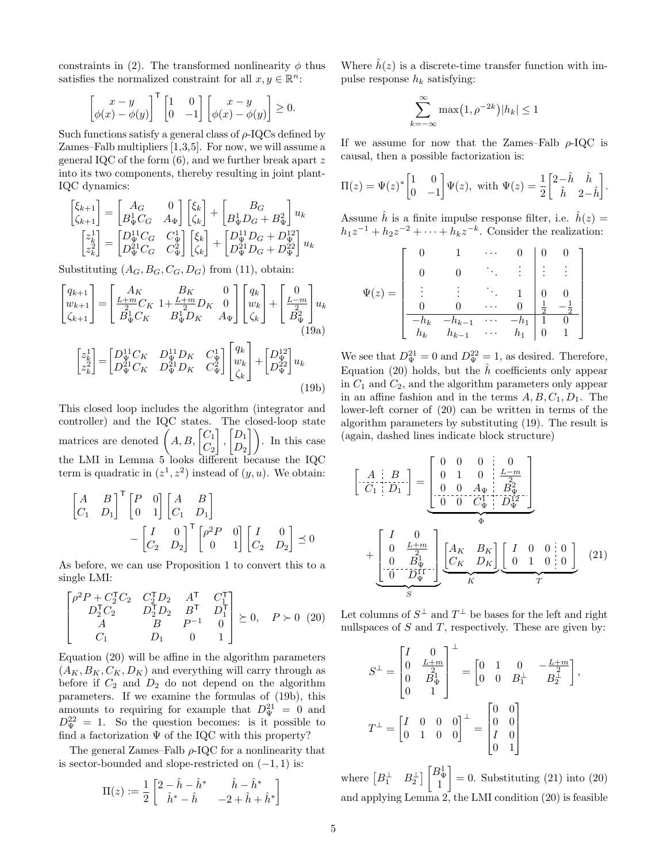constraints in [\(2\)](#page-0-2). The transformed nonlinearity  $\phi$  thus satisfies the normalized constraint for all  $x, y \in \mathbb{R}^n$ :

$$
\begin{bmatrix} x - y \\ \phi(x) - \phi(y) \end{bmatrix}^{\mathsf{T}} \begin{bmatrix} 1 & 0 \\ 0 & -1 \end{bmatrix} \begin{bmatrix} x - y \\ \phi(x) - \phi(y) \end{bmatrix} \ge 0.
$$

Such functions satisfy a general class of  $\rho$ -IQCs defined by Zames–Falb multipliers [\[1,](#page-6-13)[3,](#page-6-16)[5\]](#page-6-17). For now, we will assume a general IQC of the form [\(6\)](#page-1-7), and we further break apart z into its two components, thereby resulting in joint plant-IQC dynamics:

$$
\begin{bmatrix} \xi_{k+1} \\ \zeta_{k+1} \end{bmatrix} = \begin{bmatrix} A_G & 0 \\ B_\Psi^1 C_G & A_\Psi \end{bmatrix} \begin{bmatrix} \xi_k \\ \zeta_k \end{bmatrix} + \begin{bmatrix} B_G \\ B_\Psi^1 D_G + B_\Psi^2 \end{bmatrix} u_k
$$

$$
\begin{bmatrix} z_k^1 \\ z_k^2 \end{bmatrix} = \begin{bmatrix} D_\Psi^{11} C_G & C_\Psi^1 \\ D_\Psi^{21} C_G & C_\Psi^2 \end{bmatrix} \begin{bmatrix} \xi_k \\ \zeta_k \end{bmatrix} + \begin{bmatrix} D_\Psi^{11} D_G + D_\Psi^{12} \\ D_\Psi^{21} D_G + D_\Psi^{22} \end{bmatrix} u_k
$$

Substituting  $(A_G, B_G, C_G, D_G)$  from [\(11\)](#page-2-5), obtain:

$$
\begin{bmatrix} q_{k+1} \\ w_{k+1} \\ \zeta_{k+1} \end{bmatrix} = \begin{bmatrix} A_K & B_K & 0 \\ \frac{L+m}{2} C_K & 1 + \frac{L+m}{2} D_K & 0 \\ B^1_{\Psi} C_K & B^1_{\Psi} D_K & A_{\Psi} \end{bmatrix} \begin{bmatrix} q_k \\ w_k \\ \zeta_k \end{bmatrix} + \begin{bmatrix} 0 \\ \frac{L-m}{2} \\ B^2_{\Psi} \end{bmatrix} u_k
$$
\n(19a)

$$
\begin{bmatrix} z_k^1 \\ z_k^2 \end{bmatrix} = \begin{bmatrix} D_{\Psi}^{11} C_K & D_{\Psi}^{11} D_K & C_{\Psi}^1 \\ D_{\Psi}^{21} C_K & D_{\Psi}^{21} D_K & C_{\Psi}^2 \end{bmatrix} \begin{bmatrix} q_k \\ w_k \\ \zeta_k \end{bmatrix} + \begin{bmatrix} D_{\Psi}^{12} \\ D_{\Psi}^{22} \end{bmatrix} u_k
$$
\n(19b)

This closed loop includes the algorithm (integrator and controller) and the IQC states. The closed-loop state matrices are denoted  $\left(A, B, \begin{bmatrix} C_1 \\ C_1 \end{bmatrix}\right)$  $C_{2}$ 1 ,  $\bigl[ D_1$  $\begin{bmatrix} D_1 \\ D_2 \end{bmatrix}$ . In this case the LMI in Lemma [5](#page-1-5) looks different because the IQC term is quadratic in  $(z^1, z^2)$  instead of  $(y, u)$ . We obtain:

$$
\begin{bmatrix} A & B \\ C_1 & D_1 \end{bmatrix}^{\mathsf{T}} \begin{bmatrix} P & 0 \\ 0 & 1 \end{bmatrix} \begin{bmatrix} A & B \\ C_1 & D_1 \end{bmatrix} \\
- \begin{bmatrix} I & 0 \\ C_2 & D_2 \end{bmatrix}^{\mathsf{T}} \begin{bmatrix} \rho^2 P & 0 \\ 0 & 1 \end{bmatrix} \begin{bmatrix} I & 0 \\ C_2 & D_2 \end{bmatrix} \preceq 0
$$

As before, we can use Proposition [1](#page-1-2) to convert this to a single LMI:

<span id="page-4-0"></span>
$$
\begin{bmatrix}\n\rho^2 P + C_2^{\mathsf{T}} C_2 & C_2^{\mathsf{T}} D_2 & A^{\mathsf{T}} & C_1^{\mathsf{T}} \\
D_2^{\mathsf{T}} C_2 & D_2^{\mathsf{T}} D_2 & B^{\mathsf{T}} & D_1^{\mathsf{T}} \\
A & B & P^{-1} & 0 \\
C_1 & D_1 & 0 & 1\n\end{bmatrix} \succeq 0, \quad P \succ 0 \tag{20}
$$

Equation [\(20\)](#page-4-0) will be affine in the algorithm parameters  $(A_K, B_K, C_K, D_K)$  and everything will carry through as before if  $C_2$  and  $D_2$  do not depend on the algorithm parameters. If we examine the formulas of [\(19b\)](#page-4-1), this amounts to requiring for example that  $D_{\Psi}^{21} = 0$  and  $D_{\Psi}^{22} = 1$ . So the question becomes: is it possible to find a factorization  $\Psi$  of the IQC with this property?

The general Zames–Falb  $\rho$ -IQC for a nonlinearity that is sector-bounded and slope-restricted on  $(-1, 1)$  is:

$$
\Pi(z) := \frac{1}{2} \begin{bmatrix} 2 - \hat{h} - \hat{h}^* & \hat{h} - \hat{h}^* \\ \hat{h}^* - \hat{h} & -2 + \hat{h} + \hat{h}^* \end{bmatrix}
$$

Where  $\hat{h}(z)$  is a discrete-time transfer function with impulse response  $h_k$  satisfying:

$$
\sum_{k=-\infty}^{\infty} \max(1, \rho^{-2k}) |h_k| \le 1
$$

If we assume for now that the Zames–Falb  $\rho$ -IQC is causal, then a possible factorization is:

$$
\Pi(z) = \Psi(z)^* \begin{bmatrix} 1 & 0 \\ 0 & -1 \end{bmatrix} \Psi(z), \text{ with } \Psi(z) = \frac{1}{2} \begin{bmatrix} 2 - \hat{h} & \hat{h} \\ \hat{h} & 2 - \hat{h} \end{bmatrix}.
$$

<span id="page-4-2"></span>Assume  $\hat{h}$  is a finite impulse response filter, i.e.  $\hat{h}(z) =$  $h_1 z^{-1} + h_2 z^{-2} + \cdots + h_k z^{-k}$ . Consider the realization:

$$
\Psi(z) = \begin{bmatrix}\n0 & 1 & \cdots & 0 & 0 & 0 \\
0 & 0 & \ddots & \vdots & \vdots & \vdots \\
\vdots & \vdots & \ddots & 1 & 0 & 0 \\
0 & 0 & \cdots & 0 & \frac{1}{2} & -\frac{1}{2} \\
-h_k & -h_{k-1} & \cdots & -h_1 & 1 & 0 \\
h_k & h_{k-1} & \cdots & h_1 & 0 & 1\n\end{bmatrix}
$$

<span id="page-4-1"></span>We see that  $D_{\Psi}^{21} = 0$  and  $D_{\Psi}^{22} = 1$ , as desired. Therefore, Equation [\(20\)](#page-4-0) holds, but the  $\hat{h}$  coefficients only appear in  $C_1$  and  $C_2$ , and the algorithm parameters only appear in an affine fashion and in the terms  $A, B, C_1, D_1$ . The lower-left corner of [\(20\)](#page-4-0) can be written in terms of the algorithm parameters by substituting [\(19\)](#page-4-2). The result is (again, dashed lines indicate block structure)

$$
\begin{bmatrix}\nA & B \\
C_1 & D_1\n\end{bmatrix} =\n\begin{bmatrix}\n0 & 0 & 0 & 0 \\
0 & 1 & 0 & \frac{L-m}{2} \\
0 & 0 & A_{\Psi} & B_{\Psi}^2 \\
\hline\n0 & 0 & C_{\Psi}^{\Psi} & D_{\Psi}^{\Psi}\n\end{bmatrix}
$$
\n
$$
+\n\begin{bmatrix}\nI & 0 & 0 \\
0 & \frac{L+m}{2} & 0 \\
0 & B_{\Psi}^1 & 0 \\
\hline\n0 & D_{\Psi}^{\Psi} & K\n\end{bmatrix}\n\begin{bmatrix}\nA_K & B_K \\
C_K & D_K\n\end{bmatrix}\n\begin{bmatrix}\nI & 0 & 0 & 0 \\
0 & 1 & 0 & 0 \\
0 & 1 & 0 & 0 \\
\hline\nT\n\end{bmatrix}
$$
\n(21)

Let columns of  $S^{\perp}$  and  $T^{\perp}$  be bases for the left and right nullspaces of  $S$  and  $T$ , respectively. These are given by:

<span id="page-4-3"></span>
$$
S^{\perp} = \begin{bmatrix} I & 0 \\ 0 & \frac{L+m}{2} \\ 0 & B_{\Psi}^{\perp} \\ 0 & 1 \end{bmatrix}^{\perp} = \begin{bmatrix} 0 & 1 & 0 & -\frac{L+m}{2} \\ 0 & 0 & B_{1}^{\perp} & B_{2}^{\perp} \end{bmatrix},
$$
  

$$
T^{\perp} = \begin{bmatrix} I & 0 & 0 & 0 \\ 0 & 1 & 0 & 0 \end{bmatrix}^{\perp} = \begin{bmatrix} 0 & 0 \\ 0 & 0 \\ I & 0 \\ 0 & 1 \end{bmatrix}
$$

where  $\begin{bmatrix} B_1^{\perp} & B_2^{\perp} \end{bmatrix}$   $\begin{bmatrix} B_\Psi^1 \\ 1 \end{bmatrix}$ T  $= 0$ . Substituting  $(21)$  into  $(20)$ and applying Lemma [2,](#page-1-6) the LMI condition [\(20\)](#page-4-0) is feasible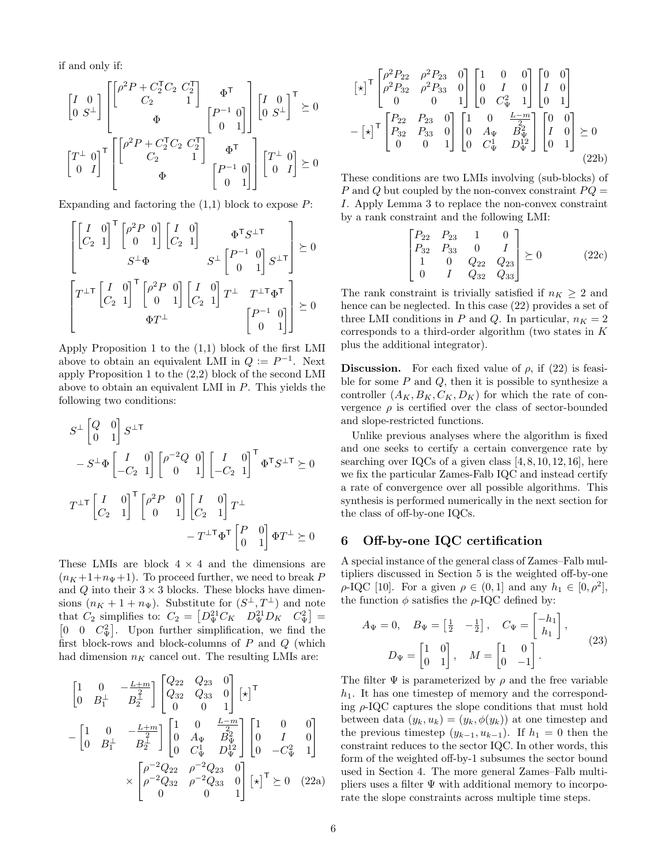if and only if:

$$
\begin{bmatrix} I & 0 \\ 0 & S^{\perp} \end{bmatrix} \begin{bmatrix} \begin{bmatrix} \rho^2 P + C_2^{\mathsf{T}} C_2 & C_2^{\mathsf{T}} \\ C_2 & 1 \end{bmatrix} & \boldsymbol{\Phi}^{\mathsf{T}} \\ \boldsymbol{\Phi} & \begin{bmatrix} P^{-1} & 0 \\ 0 & 1 \end{bmatrix} \end{bmatrix} \begin{bmatrix} I & 0 \\ 0 & S^{\perp} \end{bmatrix}^{\mathsf{T}} \succeq 0
$$
\n
$$
\begin{bmatrix} T^{\perp} & 0 \\ 0 & I \end{bmatrix}^{\mathsf{T}} \begin{bmatrix} \begin{bmatrix} \rho^2 P + C_2^{\mathsf{T}} C_2 & C_2^{\mathsf{T}} \\ C_2 & 1 \end{bmatrix} & \boldsymbol{\Phi}^{\mathsf{T}} \\ \boldsymbol{\Phi} & \begin{bmatrix} P^{-1} & 0 \\ 0 & 1 \end{bmatrix} \end{bmatrix} \begin{bmatrix} T^{\perp} & 0 \\ 0 & I \end{bmatrix} \succeq 0
$$

Expanding and factoring the  $(1,1)$  block to expose  $P$ :

$$
\begin{bmatrix}\nI & 0 \\
C_2 & 1\n\end{bmatrix}^{\mathsf{T}}\n\begin{bmatrix}\n\rho^2 P & 0 \\
0 & 1\n\end{bmatrix}\n\begin{bmatrix}\nI & 0 \\
C_2 & 1\n\end{bmatrix}\n\qquad\n\Phi^{\mathsf{T}} S^{\perp \mathsf{T}}\n\begin{bmatrix}\nP^{-1} & 0 \\
0 & 1\n\end{bmatrix} S^{\perp \mathsf{T}}\n\end{bmatrix} \succeq 0
$$
\n
$$
\begin{bmatrix}\nT^{\perp \mathsf{T}}\n\begin{bmatrix}\nI & 0 \\
C_2 & 1\n\end{bmatrix}^{\mathsf{T}}\n\begin{bmatrix}\n\rho^2 P & 0 \\
0 & 1\n\end{bmatrix}\n\begin{bmatrix}\nI & 0 \\
C_2 & 1\n\end{bmatrix} T^{\perp} & T^{\perp \mathsf{T}} \Phi^{\mathsf{T}}\n\begin{bmatrix}\nP^{-1} & 0 \\
0 & 1\n\end{bmatrix}\n\geq 0
$$

Apply Proposition [1](#page-1-2) to the (1,1) block of the first LMI above to obtain an equivalent LMI in  $Q := P^{-1}$ . Next apply Proposition [1](#page-1-2) to the (2,2) block of the second LMI above to obtain an equivalent LMI in P. This yields the following two conditions:

$$
S^{\perp} \begin{bmatrix} Q & 0 \\ 0 & 1 \end{bmatrix} S^{\perp T}
$$
  
\n
$$
- S^{\perp} \Phi \begin{bmatrix} I & 0 \\ -C_2 & 1 \end{bmatrix} \begin{bmatrix} \rho^{-2} Q & 0 \\ 0 & 1 \end{bmatrix} \begin{bmatrix} I & 0 \\ -C_2 & 1 \end{bmatrix}^{\mathsf{T}} \Phi^{\mathsf{T}} S^{\perp \mathsf{T}} \succeq 0
$$
  
\n
$$
T^{\perp \mathsf{T}} \begin{bmatrix} I & 0 \\ C_2 & 1 \end{bmatrix}^{\mathsf{T}} \begin{bmatrix} \rho^2 P & 0 \\ 0 & 1 \end{bmatrix} \begin{bmatrix} I & 0 \\ C_2 & 1 \end{bmatrix} T^{\perp}
$$
  
\n
$$
- T^{\perp \mathsf{T}} \Phi^{\mathsf{T}} \begin{bmatrix} P & 0 \\ 0 & 1 \end{bmatrix} \Phi T^{\perp} \succeq 0
$$

These LMIs are block  $4 \times 4$  and the dimensions are  $(n<sub>K</sub>+1+n<sub>\Psi</sub>+1)$ . To proceed further, we need to break P and  $Q$  into their  $3 \times 3$  blocks. These blocks have dimensions  $(n_K + 1 + n_{\Psi})$ . Substitute for  $(S^{\perp}, T^{\perp})$  and note that  $C_2$  simplifies to:  $C_2 = \begin{bmatrix} D_{\Psi}^{21} C_K & D_{\Psi}^{21} D_K & C_{\Psi}^2 \end{bmatrix} =$  $\begin{bmatrix} 0 & 0 & C^2 \ \Psi \end{bmatrix}$ . Upon further simplification, we find the first block-rows and block-columns of  $P$  and  $Q$  (which had dimension  $n_K$  cancel out. The resulting LMIs are:

$$
\begin{bmatrix}\n1 & 0 & -\frac{L+m}{2} \\
0 & B_1^{\perp} & B_2^{\perp}\n\end{bmatrix}\n\begin{bmatrix}\nQ_{22} & Q_{23} & 0 \\
Q_{32} & Q_{33} & 0 \\
0 & 0 & 1\n\end{bmatrix} \begin{bmatrix} \star \end{bmatrix}^{\mathsf{T}} \\
-\begin{bmatrix}\n1 & 0 & -\frac{L+m}{2} \\
0 & B_1^{\perp} & B_2^{\perp}\n\end{bmatrix}\n\begin{bmatrix}\n1 & 0 & \frac{L-m}{2} \\
0 & A_{\Psi} & B_{\Psi}^2 \\
0 & C_{\Psi}^1 & D_{\Psi}^{\perp2}\n\end{bmatrix}\n\begin{bmatrix}\n1 & 0 & 0 \\
0 & I & 0 \\
0 & -C_{\Psi}^2 & 1\n\end{bmatrix} \\
\times\n\begin{bmatrix}\n\rho^{-2}Q_{22} & \rho^{-2}Q_{23} & 0 \\
\rho^{-2}Q_{32} & \rho^{-2}Q_{33} & 0 \\
0 & 0 & 1\n\end{bmatrix}\n\begin{bmatrix}\n\star \end{bmatrix}^{\mathsf{T}} \succeq 0 \quad (22a)
$$

$$
\begin{bmatrix} \n\star \n\end{bmatrix}^{\mathsf{T}} \begin{bmatrix} \rho^2 P_{22} & \rho^2 P_{23} & 0 \\ \rho^2 P_{32} & \rho^2 P_{33} & 0 \\ 0 & 0 & 1 \end{bmatrix} \begin{bmatrix} 1 & 0 & 0 \\ 0 & I & 0 \\ 0 & C_{\Psi}^2 & 1 \end{bmatrix} \begin{bmatrix} 0 & 0 \\ I & 0 \\ 0 & 1 \end{bmatrix}
$$

$$
- \begin{bmatrix} \n\star \n\end{bmatrix}^{\mathsf{T}} \begin{bmatrix} P_{22} & P_{23} & 0 \\ P_{32} & P_{33} & 0 \\ 0 & 0 & 1 \end{bmatrix} \begin{bmatrix} 1 & 0 & \frac{L-m}{2} \\ 0 & A_{\Psi} & B_{\Psi}^2 \\ 0 & C_{\Psi}^1 & D_{\Psi}^{12} \end{bmatrix} \begin{bmatrix} 0 & 0 \\ I & 0 \\ 0 & 1 \end{bmatrix} \succeq 0
$$

$$
(22b)
$$

These conditions are two LMIs involving (sub-blocks) of P and Q but coupled by the non-convex constraint  $PQ =$ I. Apply Lemma [3](#page-1-3) to replace the non-convex constraint by a rank constraint and the following LMI:

$$
\begin{bmatrix} P_{22} & P_{23} & 1 & 0 \ P_{32} & P_{33} & 0 & I \ 1 & 0 & Q_{22} & Q_{23} \ 0 & I & Q_{32} & Q_{33} \end{bmatrix} \succeq 0
$$
 (22c)

The rank constraint is trivially satisfied if  $n_K \geq 2$  and hence can be neglected. In this case [\(22\)](#page-5-0) provides a set of three LMI conditions in P and Q. In particular,  $n_K = 2$ corresponds to a third-order algorithm (two states in K plus the additional integrator).

**Discussion.** For each fixed value of  $\rho$ , if [\(22\)](#page-5-0) is feasible for some  $P$  and  $Q$ , then it is possible to synthesize a controller  $(A_K, B_K, C_K, D_K)$  for which the rate of convergence  $\rho$  is certified over the class of sector-bounded and slope-restricted functions.

Unlike previous analyses where the algorithm is fixed and one seeks to certify a certain convergence rate by searching over IQCs of a given class  $[4, 8, 10, 12, 16]$  $[4, 8, 10, 12, 16]$  $[4, 8, 10, 12, 16]$  $[4, 8, 10, 12, 16]$  $[4, 8, 10, 12, 16]$ , here we fix the particular Zames-Falb IQC and instead certify a rate of convergence over all possible algorithms. This synthesis is performed numerically in the next section for the class of off-by-one IQCs.

# 6 Off-by-one IQC certification

A special instance of the general class of Zames–Falb multipliers discussed in Section [5](#page-3-0) is the weighted off-by-one  $\rho$ -IQC [\[10\]](#page-6-5). For a given  $\rho \in (0,1]$  and any  $h_1 \in [0,\rho^2]$ , the function  $\phi$  satisfies the  $\rho$ -IQC defined by:

<span id="page-5-1"></span>
$$
A_{\Psi} = 0, \quad B_{\Psi} = \begin{bmatrix} \frac{1}{2} & -\frac{1}{2} \end{bmatrix}, \quad C_{\Psi} = \begin{bmatrix} -h_1 \\ h_1 \end{bmatrix},
$$
\n
$$
D_{\Psi} = \begin{bmatrix} 1 & 0 \\ 0 & 1 \end{bmatrix}, \quad M = \begin{bmatrix} 1 & 0 \\ 0 & -1 \end{bmatrix}.
$$
\n
$$
(23)
$$

<span id="page-5-0"></span>The filter  $\Psi$  is parameterized by  $\rho$  and the free variable  $h_1$ . It has one timestep of memory and the corresponding  $\rho$ -IQC captures the slope conditions that must hold between data  $(y_k, u_k) = (y_k, \phi(y_k))$  at one timestep and the previous timestep  $(y_{k-1}, u_{k-1})$ . If  $h_1 = 0$  then the constraint reduces to the sector IQC. In other words, this form of the weighted off-by-1 subsumes the sector bound used in Section [4.](#page-2-0) The more general Zames–Falb multipliers uses a filter  $\Psi$  with additional memory to incorporate the slope constraints across multiple time steps.